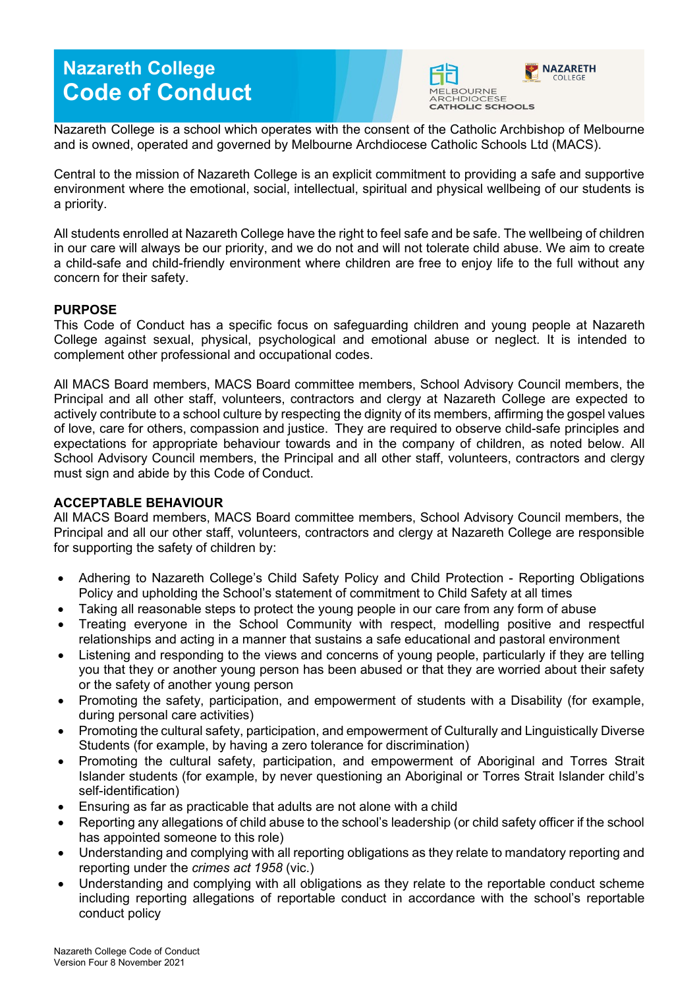# **Nazareth College Code of Conduct**



Nazareth College is a school which operates with the consent of the Catholic Archbishop of Melbourne and is owned, operated and governed by Melbourne Archdiocese Catholic Schools Ltd (MACS).

Central to the mission of Nazareth College is an explicit commitment to providing a safe and supportive environment where the emotional, social, intellectual, spiritual and physical wellbeing of our students is a priority.

All students enrolled at Nazareth College have the right to feel safe and be safe. The wellbeing of children in our care will always be our priority, and we do not and will not tolerate child abuse. We aim to create a child-safe and child-friendly environment where children are free to enjoy life to the full without any concern for their safety.

## **PURPOSE**

This Code of Conduct has a specific focus on safeguarding children and young people at Nazareth College against sexual, physical, psychological and emotional abuse or neglect. It is intended to complement other professional and occupational codes.

All MACS Board members, MACS Board committee members, School Advisory Council members, the Principal and all other staff, volunteers, contractors and clergy at Nazareth College are expected to actively contribute to a school culture by respecting the dignity of its members, affirming the gospel values of love, care for others, compassion and justice. They are required to observe child-safe principles and expectations for appropriate behaviour towards and in the company of children, as noted below. All School Advisory Council members, the Principal and all other staff, volunteers, contractors and clergy must sign and abide by this Code of Conduct.

#### **ACCEPTABLE BEHAVIOUR**

All MACS Board members, MACS Board committee members, School Advisory Council members, the Principal and all our other staff, volunteers, contractors and clergy at Nazareth College are responsible for supporting the safety of children by:

- Adhering to Nazareth College's Child Safety Policy and Child Protection [Reporting Obligations](https://d1o7v42zmrotae.cloudfront.net/wp-content/uploads/2020/04/Child-Protection-Reporting-Obligations-Policy-April-2020-Endorsed.pdf)  [Policy a](https://d1o7v42zmrotae.cloudfront.net/wp-content/uploads/2020/04/Child-Protection-Reporting-Obligations-Policy-April-2020-Endorsed.pdf)nd upholding the School's statement of commitment to Child Safety at all times
- Taking all reasonable steps to protect the young people in our care from any form of abuse
- Treating everyone in the School Community with respect, modelling positive and respectful relationships and acting in a manner that sustains a safe educational and pastoral environment
- Listening and responding to the views and concerns of young people, particularly if they are telling you that they or another young person has been abused or that they are worried about their safety or the safety of another young person
- Promoting the safety, participation, and empowerment of students with a Disability (for example, during personal care activities)
- Promoting the cultural safety, participation, and empowerment of Culturally and Linguistically Diverse Students (for example, by having a zero tolerance for discrimination)
- Promoting the cultural safety, participation, and empowerment of Aboriginal and Torres Strait Islander students (for example, by never questioning an Aboriginal or Torres Strait Islander child's self-identification)
- Ensuring as far as practicable that adults are not alone with a child
- Reporting any allegations of child abuse to the school's leadership (or child safety officer if the school has appointed someone to this role)
- Understanding and complying with all reporting obligations as they relate to mandatory reporting and reporting under the *crimes act 1958* (vic.)
- Understanding and complying with all obligations as they relate to the reportable conduct scheme including reporting allegations of reportable conduct in accordance with the school's reportable conduct policy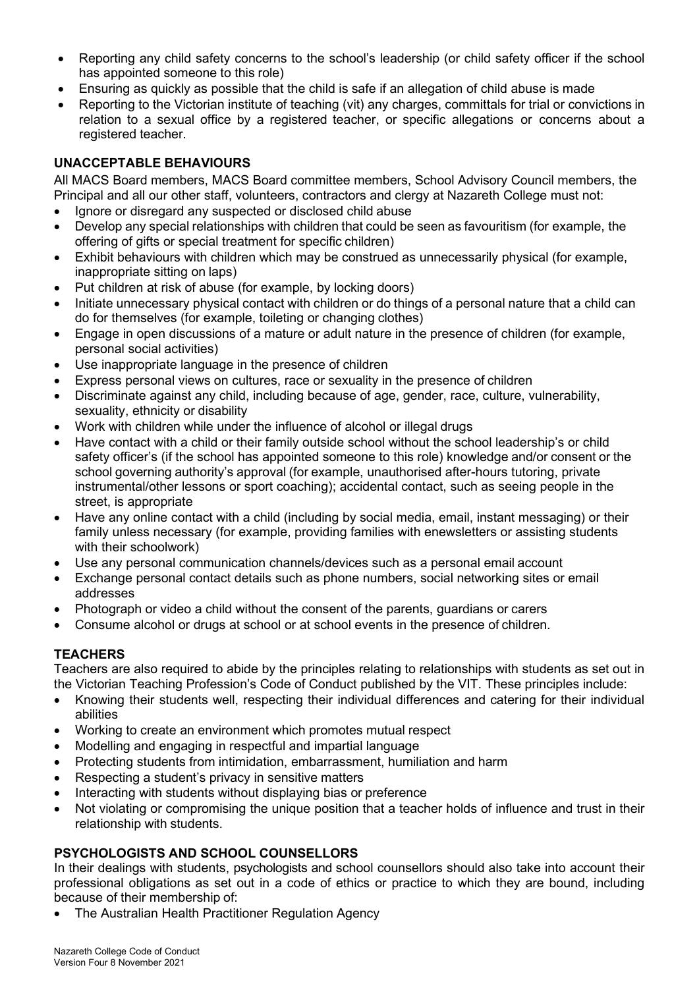- Reporting any child safety concerns to the school's leadership (or child safety officer if the school has appointed someone to this role)
- Ensuring as quickly as possible that the child is safe if an allegation of child abuse is made
- Reporting to the Victorian institute of teaching (vit) any charges, committals for trial or convictions in relation to a sexual office by a registered teacher, or specific allegations or concerns about a registered teacher.

## **UNACCEPTABLE BEHAVIOURS**

All MACS Board members, MACS Board committee members, School Advisory Council members, the Principal and all our other staff, volunteers, contractors and clergy at Nazareth College must not:

- Ignore or disregard any suspected or disclosed child abuse
- Develop any special relationships with children that could be seen as favouritism (for example, the offering of gifts or special treatment for specific children)
- Exhibit behaviours with children which may be construed as unnecessarily physical (for example, inappropriate sitting on laps)
- Put children at risk of abuse (for example, by locking doors)
- Initiate unnecessary physical contact with children or do things of a personal nature that a child can do for themselves (for example, toileting or changing clothes)
- Engage in open discussions of a mature or adult nature in the presence of children (for example, personal social activities)
- Use inappropriate language in the presence of children
- Express personal views on cultures, race or sexuality in the presence of children
- Discriminate against any child, including because of age, gender, race, culture, vulnerability, sexuality, ethnicity or disability
- Work with children while under the influence of alcohol or illegal drugs
- Have contact with a child or their family outside school without the school leadership's or child safety officer's (if the school has appointed someone to this role) knowledge and/or consent or the school governing authority's approval (for example, unauthorised after-hours tutoring, private instrumental/other lessons or sport coaching); accidental contact, such as seeing people in the street, is appropriate
- Have any online contact with a child (including by social media, email, instant messaging) or their family unless necessary (for example, providing families with enewsletters or assisting students with their schoolwork)
- Use any personal communication channels/devices such as a personal email account
- Exchange personal contact details such as phone numbers, social networking sites or email addresses
- Photograph or video a child without the consent of the parents, guardians or carers
- Consume alcohol or drugs at school or at school events in the presence of children.

## **TEACHERS**

Teachers are also required to abide by the principles relating to relationships with students as set out in the Victorian Teaching Profession's Code of Conduct published by the VIT. These principles include:

- Knowing their students well, respecting their individual differences and catering for their individual abilities
- Working to create an environment which promotes mutual respect
- Modelling and engaging in respectful and impartial language
- Protecting students from intimidation, embarrassment, humiliation and harm
- Respecting a student's privacy in sensitive matters
- Interacting with students without displaying bias or preference
- Not violating or compromising the unique position that a teacher holds of influence and trust in their relationship with students.

## **PSYCHOLOGISTS AND SCHOOL COUNSELLORS**

In their dealings with students, psychologists and school counsellors should also take into account their professional obligations as set out in a code of ethics or practice to which they are bound, including because of their membership of:

• The Australian Health Practitioner Regulation Agency